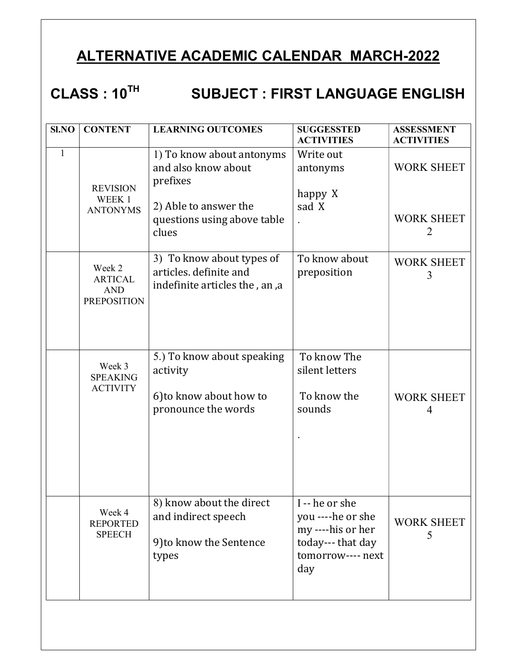### ALTERNATIVE ACADEMIC CALENDAR MARCH-2022

# CLASS : 10<sup>TH</sup> SUBJECT : FIRST LANGUAGE ENGLISH

| SI.NO        | <b>CONTENT</b>                                               | <b>LEARNING OUTCOMES</b>                                                                                                      | <b>SUGGESSTED</b><br><b>ACTIVITIES</b>                                                                  | <b>ASSESSMENT</b><br><b>ACTIVITIES</b>                   |
|--------------|--------------------------------------------------------------|-------------------------------------------------------------------------------------------------------------------------------|---------------------------------------------------------------------------------------------------------|----------------------------------------------------------|
| $\mathbf{1}$ | <b>REVISION</b><br>WEEK 1<br><b>ANTONYMS</b>                 | 1) To know about antonyms<br>and also know about<br>prefixes<br>2) Able to answer the<br>questions using above table<br>clues | Write out<br>antonyms<br>happy X<br>sad X                                                               | <b>WORK SHEET</b><br><b>WORK SHEET</b><br>$\overline{2}$ |
|              | Week 2<br><b>ARTICAL</b><br><b>AND</b><br><b>PREPOSITION</b> | 3) To know about types of<br>articles. definite and<br>indefinite articles the, an, a                                         | To know about<br>preposition                                                                            | <b>WORK SHEET</b><br>3                                   |
|              | Week 3<br><b>SPEAKING</b><br><b>ACTIVITY</b>                 | 5.) To know about speaking<br>activity<br>6) to know about how to<br>pronounce the words                                      | To know The<br>silent letters<br>To know the<br>sounds                                                  | <b>WORK SHEET</b><br>4                                   |
|              | Week 4<br><b>REPORTED</b><br><b>SPEECH</b>                   | 8) know about the direct<br>and indirect speech<br>9) to know the Sentence<br>types                                           | I--he or she<br>you ----he or she<br>my ----his or her<br>today--- that day<br>tomorrow---- next<br>day | <b>WORK SHEET</b><br>5                                   |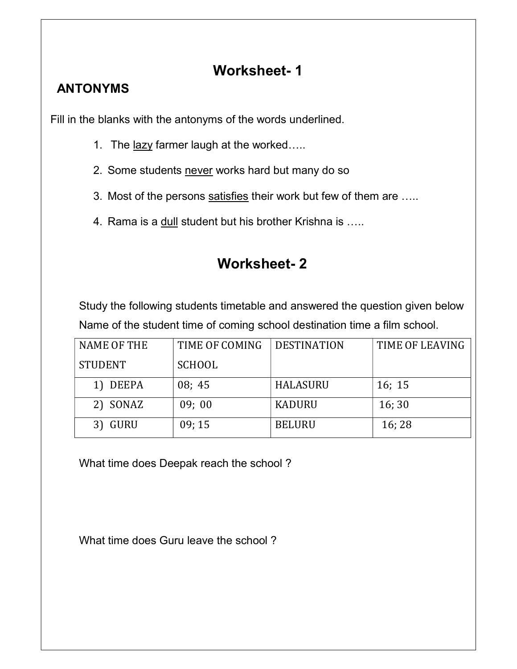#### Worksheet- 1

#### ANTONYMS

Fill in the blanks with the antonyms of the words underlined.

- 1. The lazy farmer laugh at the worked.....
- 2. Some students never works hard but many do so
- 3. Most of the persons satisfies their work but few of them are .....
- 4. Rama is a dull student but his brother Krishna is .....

#### Worksheet- 2

Study the following students timetable and answered the question given below Name of the student time of coming school destination time a film school.

| <b>NAME OF THE</b> | TIME OF COMING | <b>DESTINATION</b> | TIME OF LEAVING |
|--------------------|----------------|--------------------|-----------------|
| <b>STUDENT</b>     | <b>SCHOOL</b>  |                    |                 |
| 1) DEEPA           | 08; 45         | HALASURU           | 16; 15          |
| 2) SONAZ           | 09;00          | <b>KADURU</b>      | 16;30           |
| 3) GURU            | 09:15          | <b>BELURU</b>      | 16;28           |

What time does Deepak reach the school ?

What time does Guru leave the school ?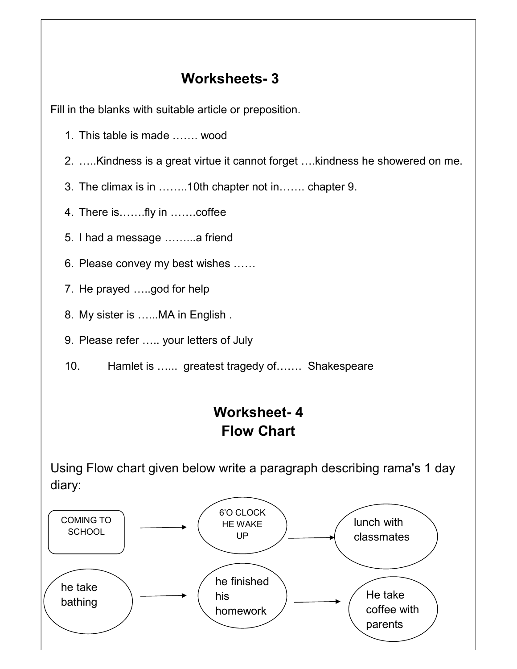#### Worksheets- 3

Fill in the blanks with suitable article or preposition.

- 1. This table is made ……. wood
- 2. …..Kindness is a great virtue it cannot forget ….kindness he showered on me.
- 3. The climax is in ……..10th chapter not in……. chapter 9.
- 4. There is…….fly in …….coffee
- 5. I had a message ……...a friend
- 6. Please convey my best wishes ……
- 7. He prayed …..god for help
- 8. My sister is …...MA in English .
- 9. Please refer ….. your letters of July
- 10. Hamlet is …... greatest tragedy of……. Shakespeare

## Worksheet- 4 Flow Chart

Using Flow chart given below write a paragraph describing rama's 1 day diary:

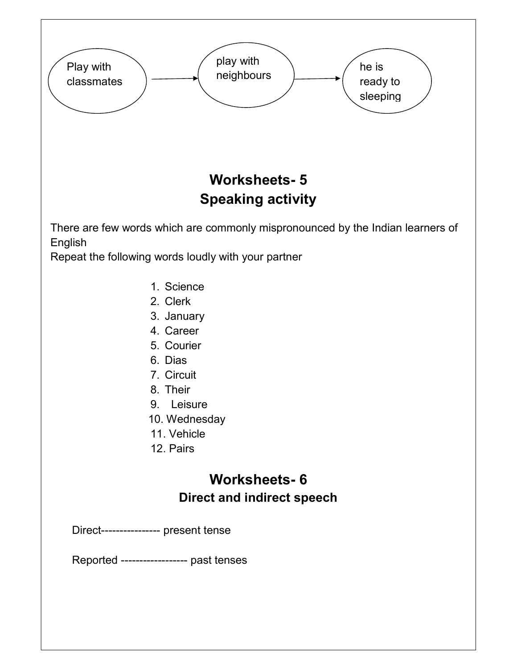